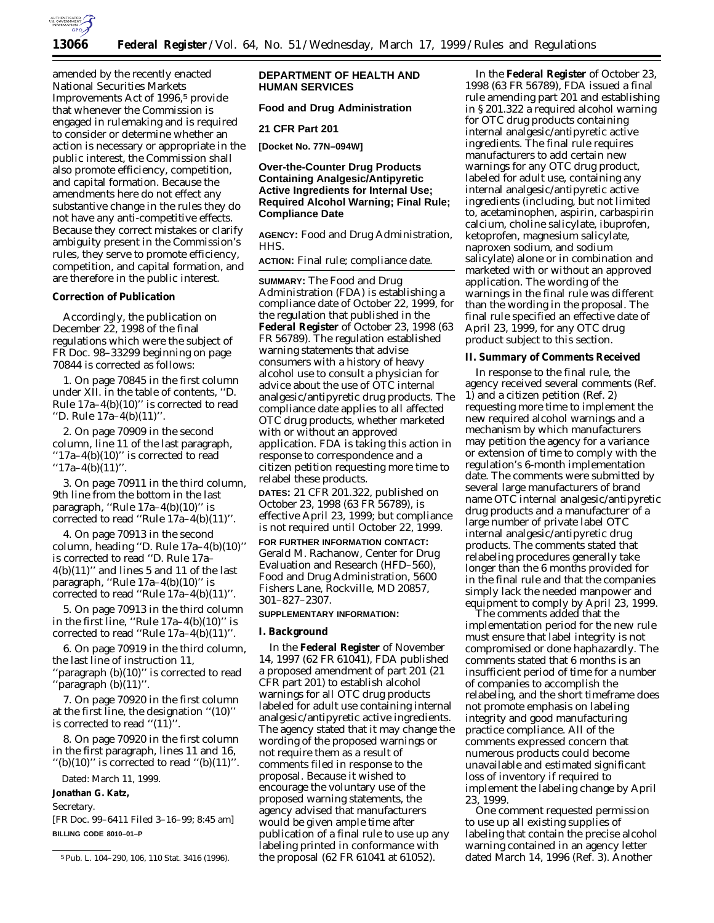

amended by the recently enacted National Securities Markets Improvements Act of 1996,<sup>5</sup> provide that whenever the Commission is engaged in rulemaking and is required to consider or determine whether an action is necessary or appropriate in the public interest, the Commission shall also promote efficiency, competition, and capital formation. Because the amendments here do not effect any substantive change in the rules they do not have any anti-competitive effects. Because they correct mistakes or clarify ambiguity present in the Commission's rules, they serve to promote efficiency, competition, and capital formation, and are therefore in the public interest.

## **Correction of Publication**

Accordingly, the publication on December 22, 1998 of the final regulations which were the subject of FR Doc. 98–33299 beginning on page 70844 is corrected as follows:

1. On page 70845 in the first column under XII. in the table of contents, ''D. Rule 17a–4(b)(10)'' is corrected to read ''D. Rule 17a–4(b)(11)''.

2. On page 70909 in the second column, line 11 of the last paragraph, ''17a–4(b)(10)'' is corrected to read  $"17a-4(b)(11)"$ .

3. On page 70911 in the third column, 9th line from the bottom in the last paragraph, "Rule  $17a-4(b)(10)$ " is corrected to read ''Rule 17a–4(b)(11)''.

4. On page 70913 in the second column, heading ''D. Rule 17a–4(b)(10)'' is corrected to read ''D. Rule 17a–  $4(b)(11)'$  and lines 5 and 11 of the last paragraph, ''Rule 17a–4(b)(10)'' is corrected to read ''Rule 17a–4(b)(11)''.

5. On page 70913 in the third column in the first line, "Rule  $17a-4(b)(10)$ " is corrected to read ''Rule 17a–4(b)(11)''.

6. On page 70919 in the third column, the last line of instruction 11, ''paragraph (b)(10)'' is corrected to read ''paragraph (b)(11)''.

7. On page 70920 in the first column at the first line, the designation ''(10)'' is corrected to read " $(11)$ ".

8. On page 70920 in the first column in the first paragraph, lines 11 and 16, "(b)(10)" is corrected to read "(b)(11)".

Dated: March 11, 1999.

# **Jonathan G. Katz,**

*Secretary.*

[FR Doc. 99–6411 Filed 3–16–99; 8:45 am] **BILLING CODE 8010–01–P**

# **DEPARTMENT OF HEALTH AND HUMAN SERVICES**

## **Food and Drug Administration**

**21 CFR Part 201**

**[Docket No. 77N–094W]**

# **Over-the-Counter Drug Products Containing Analgesic/Antipyretic Active Ingredients for Internal Use; Required Alcohol Warning; Final Rule; Compliance Date**

**AGENCY:** Food and Drug Administration, HHS.

**ACTION:** Final rule; compliance date.

**SUMMARY:** The Food and Drug Administration (FDA) is establishing a compliance date of October 22, 1999, for the regulation that published in the **Federal Register** of October 23, 1998 (63 FR 56789). The regulation established warning statements that advise consumers with a history of heavy alcohol use to consult a physician for advice about the use of OTC internal analgesic/antipyretic drug products. The compliance date applies to all affected OTC drug products, whether marketed with or without an approved application. FDA is taking this action in response to correspondence and a citizen petition requesting more time to relabel these products.

**DATES:** 21 CFR 201.322, published on October 23, 1998 (63 FR 56789), is effective April 23, 1999; but compliance is not required until October 22, 1999.

**FOR FURTHER INFORMATION CONTACT:** Gerald M. Rachanow, Center for Drug Evaluation and Research (HFD–560), Food and Drug Administration, 5600 Fishers Lane, Rockville, MD 20857, 301–827–2307.

#### **SUPPLEMENTARY INFORMATION:**

### **I. Background**

In the **Federal Register** of November 14, 1997 (62 FR 61041), FDA published a proposed amendment of part 201 (21 CFR part 201) to establish alcohol warnings for all OTC drug products labeled for adult use containing internal analgesic/antipyretic active ingredients. The agency stated that it may change the wording of the proposed warnings or not require them as a result of comments filed in response to the proposal. Because it wished to encourage the voluntary use of the proposed warning statements, the agency advised that manufacturers would be given ample time after publication of a final rule to use up any labeling printed in conformance with the proposal (62 FR 61041 at 61052).

In the **Federal Register** of October 23, 1998 (63 FR 56789), FDA issued a final rule amending part 201 and establishing in § 201.322 a required alcohol warning for OTC drug products containing internal analgesic/antipyretic active ingredients. The final rule requires manufacturers to add certain new warnings for any OTC drug product, labeled for adult use, containing any internal analgesic/antipyretic active ingredients (including, but not limited to, acetaminophen, aspirin, carbaspirin calcium, choline salicylate, ibuprofen, ketoprofen, magnesium salicylate, naproxen sodium, and sodium salicylate) alone or in combination and marketed with or without an approved application. The wording of the warnings in the final rule was different than the wording in the proposal. The final rule specified an effective date of April 23, 1999, for any OTC drug product subject to this section.

### **II. Summary of Comments Received**

In response to the final rule, the agency received several comments (Ref. 1) and a citizen petition (Ref. 2) requesting more time to implement the new required alcohol warnings and a mechanism by which manufacturers may petition the agency for a variance or extension of time to comply with the regulation's 6-month implementation date. The comments were submitted by several large manufacturers of brand name OTC internal analgesic/antipyretic drug products and a manufacturer of a large number of private label OTC internal analgesic/antipyretic drug products. The comments stated that relabeling procedures generally take longer than the 6 months provided for in the final rule and that the companies simply lack the needed manpower and equipment to comply by April 23, 1999.

The comments added that the implementation period for the new rule must ensure that label integrity is not compromised or done haphazardly. The comments stated that 6 months is an insufficient period of time for a number of companies to accomplish the relabeling, and the short timeframe does not promote emphasis on labeling integrity and good manufacturing practice compliance. All of the comments expressed concern that numerous products could become unavailable and estimated significant loss of inventory if required to implement the labeling change by April 23, 1999.

One comment requested permission to use up all existing supplies of labeling that contain the precise alcohol warning contained in an agency letter dated March 14, 1996 (Ref. 3). Another

<sup>5</sup>Pub. L. 104–290, 106, 110 Stat. 3416 (1996).